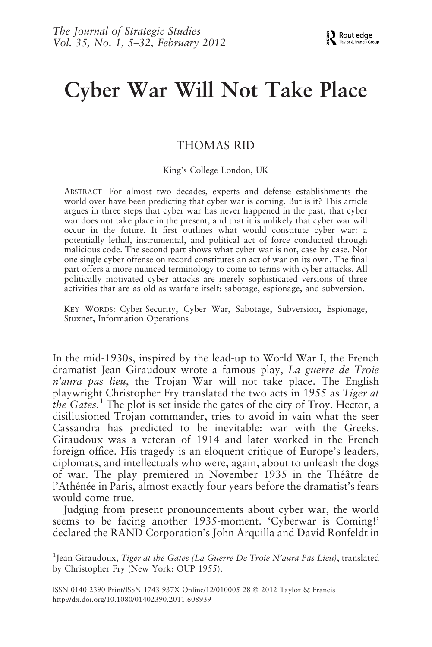# Cyber War Will Not Take Place

# THOMAS RID

#### King's College London, UK

ABSTRACT For almost two decades, experts and defense establishments the world over have been predicting that cyber war is coming. But is it? This article argues in three steps that cyber war has never happened in the past, that cyber war does not take place in the present, and that it is unlikely that cyber war will occur in the future. It first outlines what would constitute cyber war: a potentially lethal, instrumental, and political act of force conducted through malicious code. The second part shows what cyber war is not, case by case. Not one single cyber offense on record constitutes an act of war on its own. The final part offers a more nuanced terminology to come to terms with cyber attacks. All politically motivated cyber attacks are merely sophisticated versions of three activities that are as old as warfare itself: sabotage, espionage, and subversion.

KEY WORDS: Cyber Security, Cyber War, Sabotage, Subversion, Espionage, Stuxnet, Information Operations

In the mid-1930s, inspired by the lead-up to World War I, the French dramatist Jean Giraudoux wrote a famous play, La guerre de Troie n'aura pas lieu, the Trojan War will not take place. The English playwright Christopher Fry translated the two acts in 1955 as Tiger at the Gates.<sup>1</sup> The plot is set inside the gates of the city of Troy. Hector, a disillusioned Trojan commander, tries to avoid in vain what the seer Cassandra has predicted to be inevitable: war with the Greeks. Giraudoux was a veteran of 1914 and later worked in the French foreign office. His tragedy is an eloquent critique of Europe's leaders, diplomats, and intellectuals who were, again, about to unleash the dogs of war. The play premiered in November 1935 in the The´aˆtre de l'Athénée in Paris, almost exactly four years before the dramatist's fears would come true.

Judging from present pronouncements about cyber war, the world seems to be facing another 1935-moment. 'Cyberwar is Coming!' declared the RAND Corporation's John Arquilla and David Ronfeldt in

<sup>&</sup>lt;sup>1</sup>Jean Giraudoux, *Tiger at the Gates (La Guerre De Troie N'aura Pas Lieu)*, translated by Christopher Fry (New York: OUP 1955).

ISSN 0140 2390 Print/ISSN 1743 937X Online/12/010005 28 © 2012 Taylor & Francis http://dx.doi.org/10.1080/01402390.2011.608939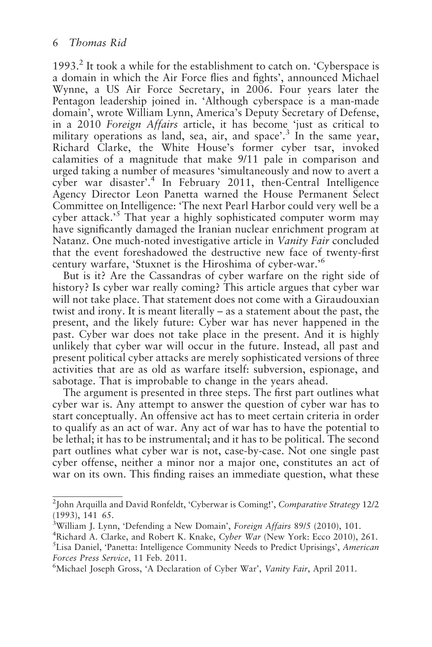1993.<sup>2</sup> It took a while for the establishment to catch on. 'Cyberspace is a domain in which the Air Force flies and fights', announced Michael Wynne, a US Air Force Secretary, in 2006. Four years later the Pentagon leadership joined in. 'Although cyberspace is a man-made domain', wrote William Lynn, America's Deputy Secretary of Defense, in a 2010 Fo*reign Affairs* article, it has become 'just as critical to military operations as land, sea, air, and space'.<sup>3</sup> In the same year, Richard Clarke, the White House's former cyber tsar, invoked calamities of a magnitude that make 9/11 pale in comparison and urged taking a number of measures 'simultaneously and now to avert a cyber war disaster'.<sup>4</sup> In February 2011, then-Central Intelligence Agency Director Leon Panetta warned the House Permanent Select Committee on Intelligence: 'The next Pearl Harbor could very well be a cyber attack.'<sup>5</sup> That year a highly sophisticated computer worm may have significantly damaged the Iranian nuclear enrichment program at Natanz. One much-noted investigative article in Vanity Fair concluded that the event foreshadowed the destructive new face of twenty-first century warfare, 'Stuxnet is the Hiroshima of cyber-war.'6

But is it? Are the Cassandras of cyber warfare on the right side of history? Is cyber war really coming? This article argues that cyber war will not take place. That statement does not come with a Giraudouxian twist and irony. It is meant literally – as a statement about the past, the present, and the likely future: Cyber war has never happened in the past. Cyber war does not take place in the present. And it is highly unlikely that cyber war will occur in the future. Instead, all past and present political cyber attacks are merely sophisticated versions of three activities that are as old as warfare itself: subversion, espionage, and sabotage. That is improbable to change in the years ahead.

The argument is presented in three steps. The first part outlines what cyber war is. Any attempt to answer the question of cyber war has to start conceptually. An offensive act has to meet certain criteria in order to qualify as an act of war. Any act of war has to have the potential to be lethal; it has to be instrumental; and it has to be political. The second part outlines what cyber war is not, case-by-case. Not one single past cyber offense, neither a minor nor a major one, constitutes an act of war on its own. This finding raises an immediate question, what these

<sup>&</sup>lt;sup>2</sup>John Arquilla and David Ronfeldt, 'Cyberwar is Coming!', Comparative Strategy 12/2 (1993), 141 65.

<sup>&</sup>lt;sup>3</sup>William J. Lynn, 'Defending a New Domain', *Foreign Affairs 89/5* (2010), 101.<br><sup>4</sup>Richard A. Clarke, and Bobert K. Knake, *Cyber War* (New York: Ecco 2010).

<sup>&</sup>lt;sup>4</sup>Richard A. Clarke, and Robert K. Knake, Cyber War (New York: Ecco 2010), 261. <sup>5</sup>Lisa Daniel, 'Panetta: Intelligence Community Needs to Predict Uprisings', American Forces Press Service, 11 Feb. 2011.

<sup>&</sup>lt;sup>6</sup>Michael Joseph Gross, 'A Declaration of Cyber War', Vanity Fair, April 2011.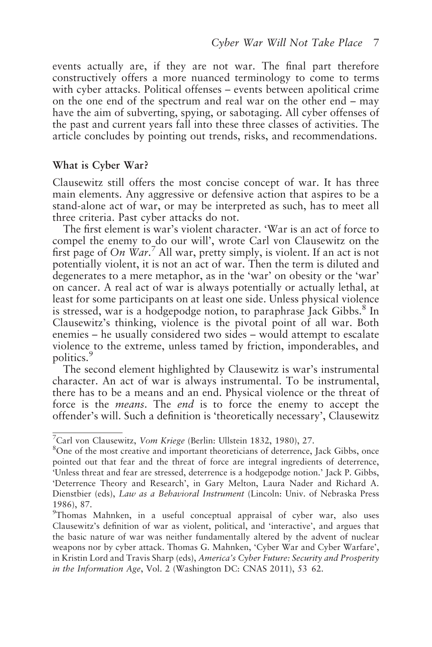events actually are, if they are not war. The final part therefore constructively offers a more nuanced terminology to come to terms with cyber attacks. Political offenses – events between apolitical crime on the one end of the spectrum and real war on the other end – may have the aim of subverting, spying, or sabotaging. All cyber offenses of the past and current years fall into these three classes of activities. The article concludes by pointing out trends, risks, and recommendations.

#### What is Cyber War?

Clausewitz still offers the most concise concept of war. It has three main elements. Any aggressive or defensive action that aspires to be a stand-alone act of war, or may be interpreted as such, has to meet all three criteria. Past cyber attacks do not.

The first element is war's violent character. 'War is an act of force to compel the enemy to do our will', wrote Carl von Clausewitz on the first page of On  $\overset{\cdot}{W}ar. ^7$  All war, pretty simply, is violent. If an act is not potentially violent, it is not an act of war. Then the term is diluted and degenerates to a mere metaphor, as in the 'war' on obesity or the 'war' on cancer. A real act of war is always potentially or actually lethal, at least for some participants on at least one side. Unless physical violence is stressed, war is a hodgepodge notion, to paraphrase Jack Gibbs.<sup>8</sup> In Clausewitz's thinking, violence is the pivotal point of all war. Both enemies – he usually considered two sides – would attempt to escalate violence to the extreme, unless tamed by friction, imponderables, and politics.

The second element highlighted by Clausewitz is war's instrumental character. An act of war is always instrumental. To be instrumental, there has to be a means and an end. Physical violence or the threat of force is the *means*. The *end* is to force the enemy to accept the offender's will. Such a definition is 'theoretically necessary', Clausewitz

<sup>&</sup>lt;sup>7</sup>Carl von Clausewitz, Vom Kriege (Berlin: Ullstein 1832, 1980), 27.<br><sup>8</sup>One of the most creative and important theoreticians of determines

<sup>&</sup>lt;sup>8</sup>One of the most creative and important theoreticians of deterrence, Jack Gibbs, once pointed out that fear and the threat of force are integral ingredients of deterrence, 'Unless threat and fear are stressed, deterrence is a hodgepodge notion.' Jack P. Gibbs, 'Deterrence Theory and Research', in Gary Melton, Laura Nader and Richard A. Dienstbier (eds), Law as a Behavioral Instrument (Lincoln: Univ. of Nebraska Press 1986), 87.

<sup>&</sup>lt;sup>9</sup>Thomas Mahnken, in a useful conceptual appraisal of cyber war, also uses Clausewitz's definition of war as violent, political, and 'interactive', and argues that the basic nature of war was neither fundamentally altered by the advent of nuclear weapons nor by cyber attack. Thomas G. Mahnken, 'Cyber War and Cyber Warfare', in Kristin Lord and Travis Sharp (eds), America's Cyber Future: Security and Prosperity in the Information Age, Vol. 2 (Washington DC: CNAS 2011), 53 62.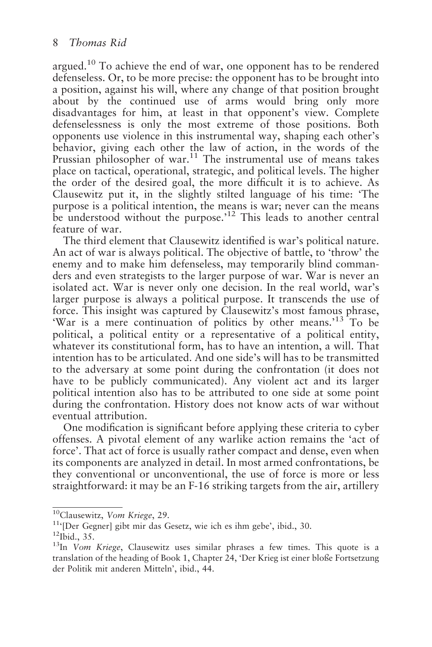argued.<sup>10</sup> To achieve the end of war, one opponent has to be rendered defenseless. Or, to be more precise: the opponent has to be brought into a position, against his will, where any change of that position brought about by the continued use of arms would bring only more disadvantages for him, at least in that opponent's view. Complete defenselessness is only the most extreme of those positions. Both opponents use violence in this instrumental way, shaping each other's behavior, giving each other the law of action, in the words of the Prussian philosopher of war.11 The instrumental use of means takes place on tactical, operational, strategic, and political levels. The higher the order of the desired goal, the more difficult it is to achieve. As Clausewitz put it, in the slightly stilted language of his time: 'The purpose is a political intention, the means is war; never can the means be understood without the purpose.<sup>12</sup> This leads to another central feature of war.

The third element that Clausewitz identified is war's political nature. An act of war is always political. The objective of battle, to 'throw' the enemy and to make him defenseless, may temporarily blind commanders and even strategists to the larger purpose of war. War is never an isolated act. War is never only one decision. In the real world, war's larger purpose is always a political purpose. It transcends the use of force. This insight was captured by Clausewitz's most famous phrase, 'War is a mere continuation of politics by other means.'<sup>13</sup> To be political, a political entity or a representative of a political entity, whatever its constitutional form, has to have an intention, a will. That intention has to be articulated. And one side's will has to be transmitted to the adversary at some point during the confrontation (it does not have to be publicly communicated). Any violent act and its larger political intention also has to be attributed to one side at some point during the confrontation. History does not know acts of war without eventual attribution.

One modification is significant before applying these criteria to cyber offenses. A pivotal element of any warlike action remains the 'act of force'. That act of force is usually rather compact and dense, even when its components are analyzed in detail. In most armed confrontations, be they conventional or unconventional, the use of force is more or less straightforward: it may be an F-16 striking targets from the air, artillery

<sup>&</sup>lt;sup>10</sup>Clausewitz, *Vom Kriege*, 29.<br><sup>11</sup>'[Der Gegner] gibt mir das Gesetz, wie ich es ihm gebe', ibid., 30.<br><sup>12</sup>Ibid., 35. <sup>13</sup>In *Vom Kriege*, Clausewitz uses similar phrases a few times. This quote is a translation of the heading of Book 1, Chapter 24, 'Der Krieg ist einer bloße Fortsetzung der Politik mit anderen Mitteln', ibid., 44.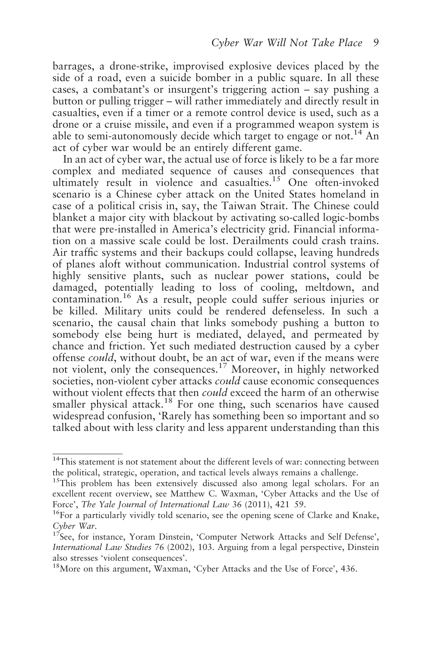barrages, a drone-strike, improvised explosive devices placed by the side of a road, even a suicide bomber in a public square. In all these cases, a combatant's or insurgent's triggering action – say pushing a button or pulling trigger – will rather immediately and directly result in casualties, even if a timer or a remote control device is used, such as a drone or a cruise missile, and even if a programmed weapon system is able to semi-autonomously decide which target to engage or not.<sup>14</sup> An act of cyber war would be an entirely different game.

In an act of cyber war, the actual use of force is likely to be a far more complex and mediated sequence of causes and consequences that ultimately result in violence and casualties.<sup>15</sup> One often-invoked scenario is a Chinese cyber attack on the United States homeland in case of a political crisis in, say, the Taiwan Strait. The Chinese could blanket a major city with blackout by activating so-called logic-bombs that were pre-installed in America's electricity grid. Financial information on a massive scale could be lost. Derailments could crash trains. Air traffic systems and their backups could collapse, leaving hundreds of planes aloft without communication. Industrial control systems of highly sensitive plants, such as nuclear power stations, could be damaged, potentially leading to loss of cooling, meltdown, and contamination.<sup>16</sup> As a result, people could suffer serious injuries or be killed. Military units could be rendered defenseless. In such a scenario, the causal chain that links somebody pushing a button to somebody else being hurt is mediated, delayed, and permeated by chance and friction. Yet such mediated destruction caused by a cyber offense *could*, without doubt, be an act of war, even if the means were not violent, only the consequences.<sup>17</sup> Moreover, in highly networked societies, non-violent cyber attacks *could* cause economic consequences without violent effects that then *could* exceed the harm of an otherwise smaller physical attack.<sup>18</sup> For one thing, such scenarios have caused widespread confusion, 'Rarely has something been so important and so talked about with less clarity and less apparent understanding than this

<sup>&</sup>lt;sup>14</sup>This statement is not statement about the different levels of war: connecting between the political, strategic, operation, and tactical levels always remains a challenge.

<sup>&</sup>lt;sup>15</sup>This problem has been extensively discussed also among legal scholars. For an excellent recent overview, see Matthew C. Waxman, 'Cyber Attacks and the Use of Force', The Yale Journal of International Law 36 (2011), 421 59.<br><sup>16</sup>For a particularly vividly told scenario, see the opening scene of Clarke and Knake,

Cyber War.<br><sup>17</sup>See, for instance, Yoram Dinstein, 'Computer Network Attacks and Self Defense',

International Law Studies 76 (2002), 103. Arguing from a legal perspective, Dinstein also stresses 'violent consequences'.

 $18$ More on this argument, Waxman, 'Cyber Attacks and the Use of Force', 436.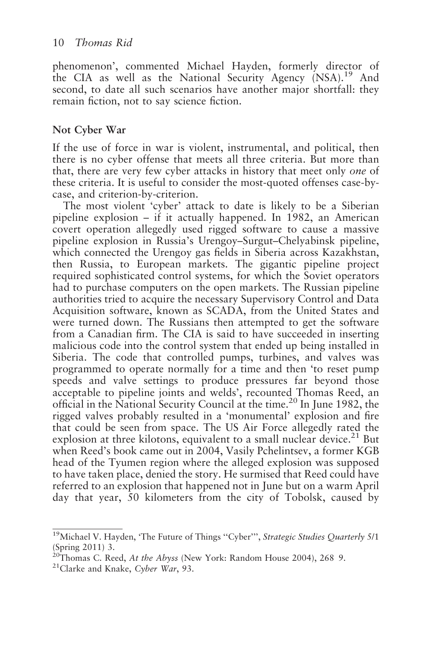phenomenon', commented Michael Hayden, formerly director of the CIA as well as the National Security Agency (NSA).<sup>19</sup> And second, to date all such scenarios have another major shortfall: they remain fiction, not to say science fiction.

## Not Cyber War

If the use of force in war is violent, instrumental, and political, then there is no cyber offense that meets all three criteria. But more than that, there are very few cyber attacks in history that meet only one of these criteria. It is useful to consider the most-quoted offenses case-bycase, and criterion-by-criterion.

The most violent 'cyber' attack to date is likely to be a Siberian pipeline explosion – if it actually happened. In 1982, an American covert operation allegedly used rigged software to cause a massive pipeline explosion in Russia's Urengoy–Surgut–Chelyabinsk pipeline, which connected the Urengoy gas fields in Siberia across Kazakhstan, then Russia, to European markets. The gigantic pipeline project required sophisticated control systems, for which the Soviet operators had to purchase computers on the open markets. The Russian pipeline authorities tried to acquire the necessary Supervisory Control and Data Acquisition software, known as SCADA, from the United States and were turned down. The Russians then attempted to get the software from a Canadian firm. The CIA is said to have succeeded in inserting malicious code into the control system that ended up being installed in Siberia. The code that controlled pumps, turbines, and valves was programmed to operate normally for a time and then 'to reset pump speeds and valve settings to produce pressures far beyond those acceptable to pipeline joints and welds', recounted Thomas Reed, an official in the National Security Council at the time.20 In June 1982, the rigged valves probably resulted in a 'monumental' explosion and fire that could be seen from space. The US Air Force allegedly rated the explosion at three kilotons, equivalent to a small nuclear device. $21$  But when Reed's book came out in 2004, Vasily Pchelintsev, a former KGB head of the Tyumen region where the alleged explosion was supposed to have taken place, denied the story. He surmised that Reed could have referred to an explosion that happened not in June but on a warm April day that year, 50 kilometers from the city of Tobolsk, caused by

<sup>&</sup>lt;sup>19</sup>Michael V. Hayden, 'The Future of Things "Cyber"', Strategic Studies Quarterly 5/1 (Spring 2011) 3.

<sup>&</sup>lt;sup>20</sup>Thomas C. Reed, *At the Abyss* (New York: Random House 2004), 268 9.<br><sup>21</sup>Clarke and Knake, *Cyber War*, 93.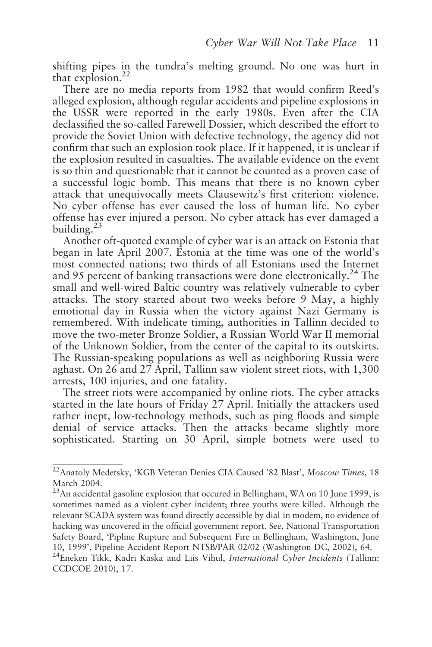shifting pipes in the tundra's melting ground. No one was hurt in that explosion.<sup>22</sup>

There are no media reports from 1982 that would confirm Reed's alleged explosion, although regular accidents and pipeline explosions in the USSR were reported in the early 1980s. Even after the CIA declassified the so-called Farewell Dossier, which described the effort to provide the Soviet Union with defective technology, the agency did not confirm that such an explosion took place. If it happened, it is unclear if the explosion resulted in casualties. The available evidence on the event is so thin and questionable that it cannot be counted as a proven case of a successful logic bomb. This means that there is no known cyber attack that unequivocally meets Clausewitz's first criterion: violence. No cyber offense has ever caused the loss of human life. No cyber offense has ever injured a person. No cyber attack has ever damaged a building.23

Another oft-quoted example of cyber war is an attack on Estonia that began in late April 2007. Estonia at the time was one of the world's most connected nations; two thirds of all Estonians used the Internet and 95 percent of banking transactions were done electronically.<sup>24</sup> The small and well-wired Baltic country was relatively vulnerable to cyber attacks. The story started about two weeks before 9 May, a highly emotional day in Russia when the victory against Nazi Germany is remembered. With indelicate timing, authorities in Tallinn decided to move the two-meter Bronze Soldier, a Russian World War II memorial of the Unknown Soldier, from the center of the capital to its outskirts. The Russian-speaking populations as well as neighboring Russia were aghast. On 26 and 27 April, Tallinn saw violent street riots, with 1,300 arrests, 100 injuries, and one fatality.

The street riots were accompanied by online riots. The cyber attacks started in the late hours of Friday 27 April. Initially the attackers used rather inept, low-technology methods, such as ping floods and simple denial of service attacks. Then the attacks became slightly more sophisticated. Starting on 30 April, simple botnets were used to

<sup>&</sup>lt;sup>22</sup> Anatoly Medetsky, 'KGB Veteran Denies CIA Caused '82 Blast', Moscow Times, 18 March 2004.

<sup>&</sup>lt;sup>23</sup>An accidental gasoline explosion that occured in Bellingham, WA on 10 June 1999, is sometimes named as a violent cyber incident; three youths were killed. Although the relevant SCADA system was found directly accessible by dial in modem, no evidence of hacking was uncovered in the official government report. See, National Transportation Safety Board, 'Pipline Rupture and Subsequent Fire in Bellingham, Washington, June 10, 1999', Pipeline Accident Report NTSB/PAR 02/02 (Washington DC, 2002), 64.

 $^{24}$ Eneken Tikk, Kadri Kaska and Liis Vihul, International Cyber Incidents (Tallinn: CCDCOE 2010), 17.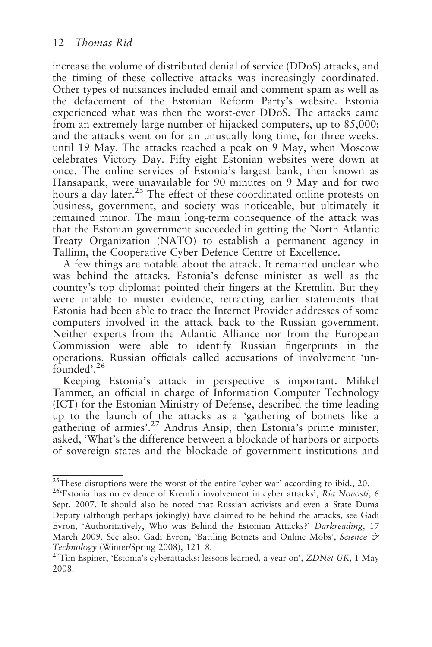increase the volume of distributed denial of service (DDoS) attacks, and the timing of these collective attacks was increasingly coordinated. Other types of nuisances included email and comment spam as well as the defacement of the Estonian Reform Party's website. Estonia experienced what was then the worst-ever DDoS. The attacks came from an extremely large number of hijacked computers, up to 85,000; and the attacks went on for an unusually long time, for three weeks, until 19 May. The attacks reached a peak on 9 May, when Moscow celebrates Victory Day. Fifty-eight Estonian websites were down at once. The online services of Estonia's largest bank, then known as Hansapank, were unavailable for 90 minutes on 9 May and for two hours a day later.<sup>25</sup> The effect of these coordinated online protests on business, government, and society was noticeable, but ultimately it remained minor. The main long-term consequence of the attack was that the Estonian government succeeded in getting the North Atlantic Treaty Organization (NATO) to establish a permanent agency in Tallinn, the Cooperative Cyber Defence Centre of Excellence.

A few things are notable about the attack. It remained unclear who was behind the attacks. Estonia's defense minister as well as the country's top diplomat pointed their fingers at the Kremlin. But they were unable to muster evidence, retracting earlier statements that Estonia had been able to trace the Internet Provider addresses of some computers involved in the attack back to the Russian government. Neither experts from the Atlantic Alliance nor from the European Commission were able to identify Russian fingerprints in the operations. Russian officials called accusations of involvement 'unfounded'.26

Keeping Estonia's attack in perspective is important. Mihkel Tammet, an official in charge of Information Computer Technology (ICT) for the Estonian Ministry of Defense, described the time leading up to the launch of the attacks as a 'gathering of botnets like a gathering of armies'.<sup>27</sup> Andrus Ansip, then Estonia's prime minister, asked, 'What's the difference between a blockade of harbors or airports of sovereign states and the blockade of government institutions and

<sup>&</sup>lt;sup>25</sup>These disruptions were the worst of the entire 'cyber war' according to ibid., 20. <sup>26</sup>'Estonia has no evidence of Kremlin involvement in cyber attacks', *Ria Novosti*, 6 Sept. 2007. It should also be noted that Russian activists and even a State Duma Deputy (although perhaps jokingly) have claimed to be behind the attacks, see Gadi Evron, 'Authoritatively, Who was Behind the Estonian Attacks?' Darkreading, 17 March 2009. See also, Gadi Evron, 'Battling Botnets and Online Mobs', Science & Technology (Winter/Spring 2008), 121 8.<br><sup>27</sup>Tim Espiner, 'Estonia's cyberattacks: lessons learned, a year on', *ZDNet UK*, 1 May

<sup>2008.</sup>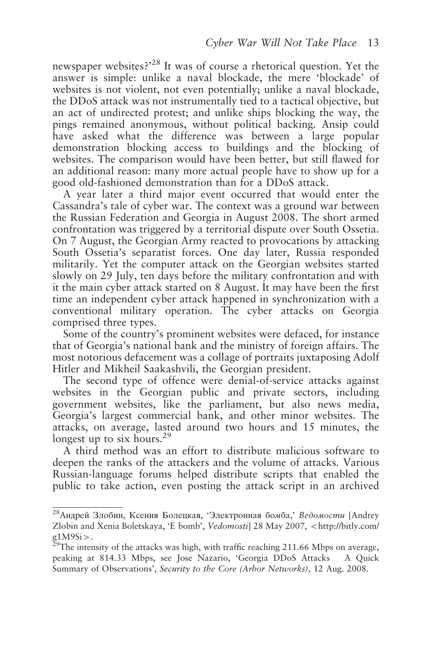newspaper websites?<sup>28</sup> It was of course a rhetorical question. Yet the answer is simple: unlike a naval blockade, the mere 'blockade' of websites is not violent, not even potentially; unlike a naval blockade, the DDoS attack was not instrumentally tied to a tactical objective, but an act of undirected protest; and unlike ships blocking the way, the pings remained anonymous, without political backing. Ansip could have asked what the difference was between a large popular demonstration blocking access to buildings and the blocking of websites. The comparison would have been better, but still flawed for an additional reason: many more actual people have to show up for a good old-fashioned demonstration than for a DDoS attack.

A year later a third major event occurred that would enter the Cassandra's tale of cyber war. The context was a ground war between the Russian Federation and Georgia in August 2008. The short armed confrontation was triggered by a territorial dispute over South Ossetia. On 7 August, the Georgian Army reacted to provocations by attacking South Ossetia's separatist forces. One day later, Russia responded militarily. Yet the computer attack on the Georgian websites started slowly on 29 July, ten days before the military confrontation and with it the main cyber attack started on 8 August. It may have been the first time an independent cyber attack happened in synchronization with a conventional military operation. The cyber attacks on Georgia comprised three types.

Some of the country's prominent websites were defaced, for instance that of Georgia's national bank and the ministry of foreign affairs. The most notorious defacement was a collage of portraits juxtaposing Adolf Hitler and Mikheil Saakashvili, the Georgian president.

The second type of offence were denial-of-service attacks against websites in the Georgian public and private sectors, including government websites, like the parliament, but also news media, Georgia's largest commercial bank, and other minor websites. The attacks, on average, lasted around two hours and 15 minutes, the longest up to six hours.<sup>29</sup>

A third method was an effort to distribute malicious software to deepen the ranks of the attackers and the volume of attacks. Various Russian-language forums helped distribute scripts that enabled the public to take action, even posting the attack script in an archived

<sup>&</sup>lt;sup>28</sup>Андрей Злобин, Ксения Болецкая, 'Электронная бомба,' Ведомости [Andrey Zlobin and Xenia Boletskaya, 'E bomb', Vedomosti] 28 May 2007, <http://bitly.com/  $\texttt{g1M9Si}\!>\!$ .

 $\tilde{C}^9$ The intensity of the attacks was high, with traffic reaching 211.66 Mbps on average, peaking at 814.33 Mbps, see Jose Nazario, 'Georgia DDoS Attacks A Quick Summary of Observations', Security to the Core (Arbor Networks), 12 Aug. 2008.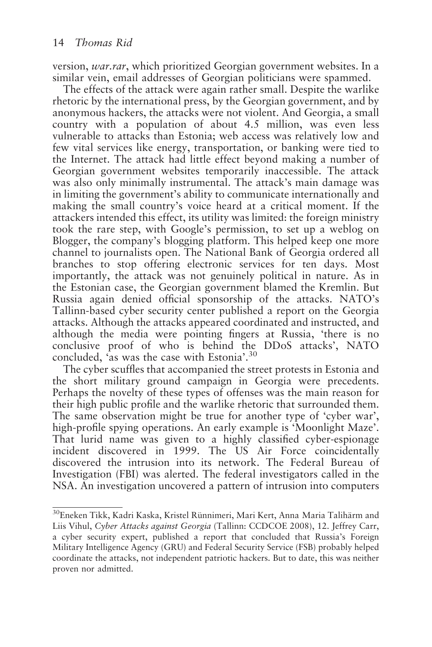version, war.rar, which prioritized Georgian government websites. In a similar vein, email addresses of Georgian politicians were spammed.

The effects of the attack were again rather small. Despite the warlike rhetoric by the international press, by the Georgian government, and by anonymous hackers, the attacks were not violent. And Georgia, a small country with a population of about 4.5 million, was even less vulnerable to attacks than Estonia; web access was relatively low and few vital services like energy, transportation, or banking were tied to the Internet. The attack had little effect beyond making a number of Georgian government websites temporarily inaccessible. The attack was also only minimally instrumental. The attack's main damage was in limiting the government's ability to communicate internationally and making the small country's voice heard at a critical moment. If the attackers intended this effect, its utility was limited: the foreign ministry took the rare step, with Google's permission, to set up a weblog on Blogger, the company's blogging platform. This helped keep one more channel to journalists open. The National Bank of Georgia ordered all branches to stop offering electronic services for ten days. Most importantly, the attack was not genuinely political in nature. As in the Estonian case, the Georgian government blamed the Kremlin. But Russia again denied official sponsorship of the attacks. NATO's Tallinn-based cyber security center published a report on the Georgia attacks. Although the attacks appeared coordinated and instructed, and although the media were pointing fingers at Russia, 'there is no conclusive proof of who is behind the DDoS attacks', NATO concluded, 'as was the case with Estonia'.30

The cyber scuffles that accompanied the street protests in Estonia and the short military ground campaign in Georgia were precedents. Perhaps the novelty of these types of offenses was the main reason for their high public profile and the warlike rhetoric that surrounded them. The same observation might be true for another type of 'cyber war', high-profile spying operations. An early example is 'Moonlight Maze'. That lurid name was given to a highly classified cyber-espionage incident discovered in 1999. The US Air Force coincidentally discovered the intrusion into its network. The Federal Bureau of Investigation (FBI) was alerted. The federal investigators called in the NSA. An investigation uncovered a pattern of intrusion into computers

<sup>&</sup>lt;sup>30</sup>Eneken Tikk, Kadri Kaska, Kristel Rünnimeri, Mari Kert, Anna Maria Talihärm and Liis Vihul, Cyber Attacks against Georgia (Tallinn: CCDCOE 2008), 12. Jeffrey Carr, a cyber security expert, published a report that concluded that Russia's Foreign Military Intelligence Agency (GRU) and Federal Security Service (FSB) probably helped coordinate the attacks, not independent patriotic hackers. But to date, this was neither proven nor admitted.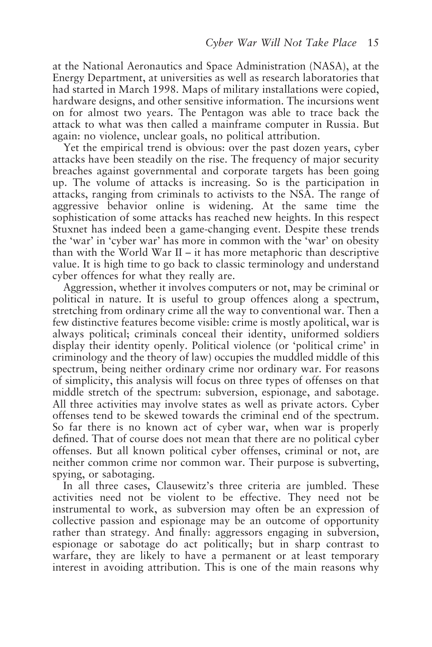at the National Aeronautics and Space Administration (NASA), at the Energy Department, at universities as well as research laboratories that had started in March 1998. Maps of military installations were copied, hardware designs, and other sensitive information. The incursions went on for almost two years. The Pentagon was able to trace back the attack to what was then called a mainframe computer in Russia. But again: no violence, unclear goals, no political attribution.

Yet the empirical trend is obvious: over the past dozen years, cyber attacks have been steadily on the rise. The frequency of major security breaches against governmental and corporate targets has been going up. The volume of attacks is increasing. So is the participation in attacks, ranging from criminals to activists to the NSA. The range of aggressive behavior online is widening. At the same time the sophistication of some attacks has reached new heights. In this respect Stuxnet has indeed been a game-changing event. Despite these trends the 'war' in 'cyber war' has more in common with the 'war' on obesity than with the World War II – it has more metaphoric than descriptive value. It is high time to go back to classic terminology and understand cyber offences for what they really are.

Aggression, whether it involves computers or not, may be criminal or political in nature. It is useful to group offences along a spectrum, stretching from ordinary crime all the way to conventional war. Then a few distinctive features become visible: crime is mostly apolitical, war is always political; criminals conceal their identity, uniformed soldiers display their identity openly. Political violence (or 'political crime' in criminology and the theory of law) occupies the muddled middle of this spectrum, being neither ordinary crime nor ordinary war. For reasons of simplicity, this analysis will focus on three types of offenses on that middle stretch of the spectrum: subversion, espionage, and sabotage. All three activities may involve states as well as private actors. Cyber offenses tend to be skewed towards the criminal end of the spectrum. So far there is no known act of cyber war, when war is properly defined. That of course does not mean that there are no political cyber offenses. But all known political cyber offenses, criminal or not, are neither common crime nor common war. Their purpose is subverting, spying, or sabotaging.

In all three cases, Clausewitz's three criteria are jumbled. These activities need not be violent to be effective. They need not be instrumental to work, as subversion may often be an expression of collective passion and espionage may be an outcome of opportunity rather than strategy. And finally: aggressors engaging in subversion, espionage or sabotage do act politically; but in sharp contrast to warfare, they are likely to have a permanent or at least temporary interest in avoiding attribution. This is one of the main reasons why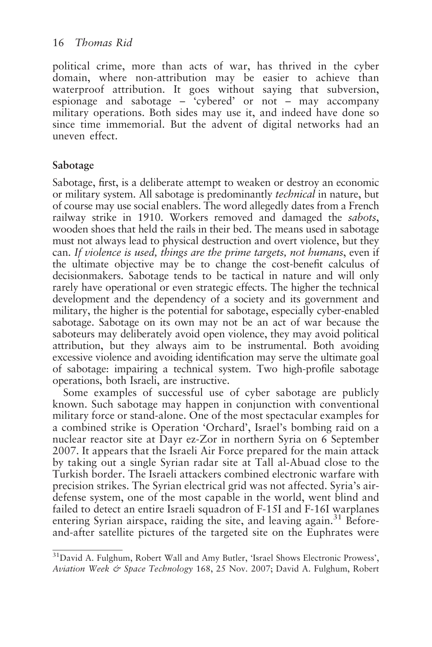political crime, more than acts of war, has thrived in the cyber domain, where non-attribution may be easier to achieve than waterproof attribution. It goes without saying that subversion, espionage and sabotage – 'cybered' or not – may accompany military operations. Both sides may use it, and indeed have done so since time immemorial. But the advent of digital networks had an uneven effect.

## Sabotage

Sabotage, first, is a deliberate attempt to weaken or destroy an economic or military system. All sabotage is predominantly technical in nature, but of course may use social enablers. The word allegedly dates from a French railway strike in 1910. Workers removed and damaged the sabots, wooden shoes that held the rails in their bed. The means used in sabotage must not always lead to physical destruction and overt violence, but they can. If violence is used, things are the prime targets, not humans, even if the ultimate objective may be to change the cost-benefit calculus of decisionmakers. Sabotage tends to be tactical in nature and will only rarely have operational or even strategic effects. The higher the technical development and the dependency of a society and its government and military, the higher is the potential for sabotage, especially cyber-enabled sabotage. Sabotage on its own may not be an act of war because the saboteurs may deliberately avoid open violence, they may avoid political attribution, but they always aim to be instrumental. Both avoiding excessive violence and avoiding identification may serve the ultimate goal of sabotage: impairing a technical system. Two high-profile sabotage operations, both Israeli, are instructive.

Some examples of successful use of cyber sabotage are publicly known. Such sabotage may happen in conjunction with conventional military force or stand-alone. One of the most spectacular examples for a combined strike is Operation 'Orchard', Israel's bombing raid on a nuclear reactor site at Dayr ez-Zor in northern Syria on 6 September 2007. It appears that the Israeli Air Force prepared for the main attack by taking out a single Syrian radar site at Tall al-Abuad close to the Turkish border. The Israeli attackers combined electronic warfare with precision strikes. The Syrian electrical grid was not affected. Syria's airdefense system, one of the most capable in the world, went blind and failed to detect an entire Israeli squadron of F-15I and F-16I warplanes entering Syrian airspace, raiding the site, and leaving again.<sup>31</sup> Beforeand-after satellite pictures of the targeted site on the Euphrates were

<sup>&</sup>lt;sup>31</sup>David A. Fulghum, Robert Wall and Amy Butler, 'Israel Shows Electronic Prowess', Aviation Week & Space Technology 168, 25 Nov. 2007; David A. Fulghum, Robert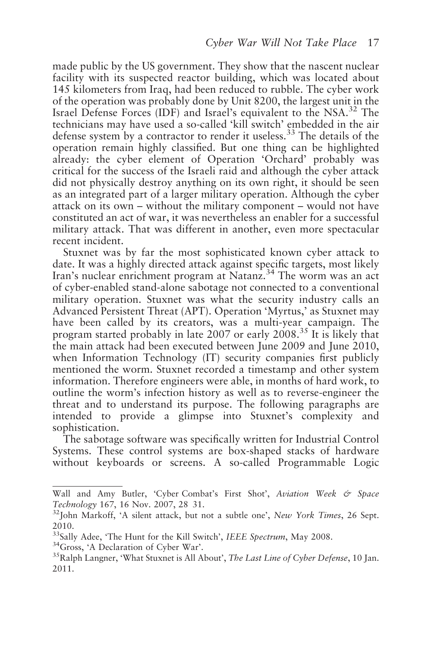made public by the US government. They show that the nascent nuclear facility with its suspected reactor building, which was located about 145 kilometers from Iraq, had been reduced to rubble. The cyber work of the operation was probably done by Unit 8200, the largest unit in the Israel Defense Forces (IDF) and Israel's equivalent to the NSA.32 The technicians may have used a so-called 'kill switch' embedded in the air defense system by a contractor to render it useless.<sup>33</sup> The details of the operation remain highly classified. But one thing can be highlighted already: the cyber element of Operation 'Orchard' probably was critical for the success of the Israeli raid and although the cyber attack did not physically destroy anything on its own right, it should be seen as an integrated part of a larger military operation. Although the cyber attack on its own – without the military component – would not have constituted an act of war, it was nevertheless an enabler for a successful military attack. That was different in another, even more spectacular recent incident.

Stuxnet was by far the most sophisticated known cyber attack to date. It was a highly directed attack against specific targets, most likely Iran's nuclear enrichment program at Natanz.34 The worm was an act of cyber-enabled stand-alone sabotage not connected to a conventional military operation. Stuxnet was what the security industry calls an Advanced Persistent Threat (APT). Operation 'Myrtus,' as Stuxnet may have been called by its creators, was a multi-year campaign. The program started probably in late  $2007$  or early  $2008.^{35}$  It is likely that the main attack had been executed between June 2009 and June 2010, when Information Technology (IT) security companies first publicly mentioned the worm. Stuxnet recorded a timestamp and other system information. Therefore engineers were able, in months of hard work, to outline the worm's infection history as well as to reverse-engineer the threat and to understand its purpose. The following paragraphs are intended to provide a glimpse into Stuxnet's complexity and sophistication.

The sabotage software was specifically written for Industrial Control Systems. These control systems are box-shaped stacks of hardware without keyboards or screens. A so-called Programmable Logic

Wall and Amy Butler, 'Cyber Combat's First Shot', Aviation Week & Space Technology 167, 16 Nov. 2007, 28 31.<br><sup>32</sup>John Markoff, 'A silent attack, but not a subtle one', New York Times, 26 Sept.

<sup>2010.&</sup>lt;br><sup>33</sup>Sally Adee, 'The Hunt for the Kill Switch', *IEEE Spectrum*, May 2008.

<sup>&</sup>lt;sup>34</sup>Gross, 'A Declaration of Cyber War'.<br><sup>35</sup>Ralph Langner, 'What Stuxnet is All About', *The Last Line of Cyber Defense*, 10 Jan. 2011.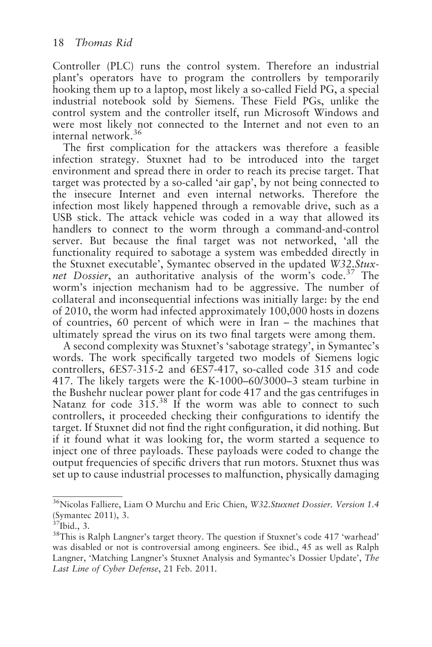Controller (PLC) runs the control system. Therefore an industrial plant's operators have to program the controllers by temporarily hooking them up to a laptop, most likely a so-called Field PG, a special industrial notebook sold by Siemens. These Field PGs, unlike the control system and the controller itself, run Microsoft Windows and were most likely not connected to the Internet and not even to an internal network.36

The first complication for the attackers was therefore a feasible infection strategy. Stuxnet had to be introduced into the target environment and spread there in order to reach its precise target. That target was protected by a so-called 'air gap', by not being connected to the insecure Internet and even internal networks. Therefore the infection most likely happened through a removable drive, such as a USB stick. The attack vehicle was coded in a way that allowed its handlers to connect to the worm through a command-and-control server. But because the final target was not networked, 'all the functionality required to sabotage a system was embedded directly in the Stuxnet executable', Symantec observed in the updated W32.Stuxnet Dossier, an authoritative analysis of the worm's code.<sup>37</sup> The worm's injection mechanism had to be aggressive. The number of collateral and inconsequential infections was initially large: by the end of 2010, the worm had infected approximately 100,000 hosts in dozens of countries, 60 percent of which were in Iran – the machines that ultimately spread the virus on its two final targets were among them.

A second complexity was Stuxnet's 'sabotage strategy', in Symantec's words. The work specifically targeted two models of Siemens logic controllers, 6ES7-315-2 and 6ES7-417, so-called code 315 and code 417. The likely targets were the K-1000–60/3000–3 steam turbine in the Bushehr nuclear power plant for code 417 and the gas centrifuges in Natanz for code  $315.^{38}$  If the worm was able to connect to such controllers, it proceeded checking their configurations to identify the target. If Stuxnet did not find the right configuration, it did nothing. But if it found what it was looking for, the worm started a sequence to inject one of three payloads. These payloads were coded to change the output frequencies of specific drivers that run motors. Stuxnet thus was set up to cause industrial processes to malfunction, physically damaging

<sup>&</sup>lt;sup>36</sup>Nicolas Falliere, Liam O Murchu and Eric Chien, W32.Stuxnet Dossier. Version 1.4 (Symantec 2011), 3.<br><sup>37</sup>Ibid., 3.

 $38$ This is Ralph Langner's target theory. The question if Stuxnet's code 417 'warhead' was disabled or not is controversial among engineers. See ibid., 45 as well as Ralph Langner, 'Matching Langner's Stuxnet Analysis and Symantec's Dossier Update', The Last Line of Cyber Defense, 21 Feb. 2011.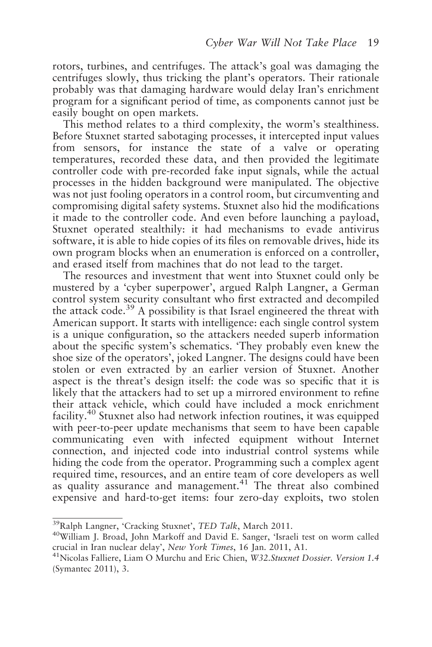rotors, turbines, and centrifuges. The attack's goal was damaging the centrifuges slowly, thus tricking the plant's operators. Their rationale probably was that damaging hardware would delay Iran's enrichment program for a significant period of time, as components cannot just be easily bought on open markets.

This method relates to a third complexity, the worm's stealthiness. Before Stuxnet started sabotaging processes, it intercepted input values from sensors, for instance the state of a valve or operating temperatures, recorded these data, and then provided the legitimate controller code with pre-recorded fake input signals, while the actual processes in the hidden background were manipulated. The objective was not just fooling operators in a control room, but circumventing and compromising digital safety systems. Stuxnet also hid the modifications it made to the controller code. And even before launching a payload, Stuxnet operated stealthily: it had mechanisms to evade antivirus software, it is able to hide copies of its files on removable drives, hide its own program blocks when an enumeration is enforced on a controller, and erased itself from machines that do not lead to the target.

The resources and investment that went into Stuxnet could only be mustered by a 'cyber superpower', argued Ralph Langner, a German control system security consultant who first extracted and decompiled the attack code.<sup>39</sup> A possibility is that Israel engineered the threat with American support. It starts with intelligence: each single control system is a unique configuration, so the attackers needed superb information about the specific system's schematics. 'They probably even knew the shoe size of the operators', joked Langner. The designs could have been stolen or even extracted by an earlier version of Stuxnet. Another aspect is the threat's design itself: the code was so specific that it is likely that the attackers had to set up a mirrored environment to refine their attack vehicle, which could have included a mock enrichment facility.40 Stuxnet also had network infection routines, it was equipped with peer-to-peer update mechanisms that seem to have been capable communicating even with infected equipment without Internet connection, and injected code into industrial control systems while hiding the code from the operator. Programming such a complex agent required time, resources, and an entire team of core developers as well as quality assurance and management.<sup>41</sup> The threat also combined expensive and hard-to-get items: four zero-day exploits, two stolen

<sup>&</sup>lt;sup>39</sup>Ralph Langner, 'Cracking Stuxnet', *TED Talk*, March 2011.<br><sup>40</sup>William J. Broad, John Markoff and David E. Sanger, 'Israeli test on worm called crucial in Iran nuclear delay', New York Times, 16 Jan. 2011, A1.<br><sup>41</sup>Nicolas Falliere, Liam O Murchu and Eric Chien, W32.Stuxnet Dossier. Version 1.4

<sup>(</sup>Symantec 2011), 3.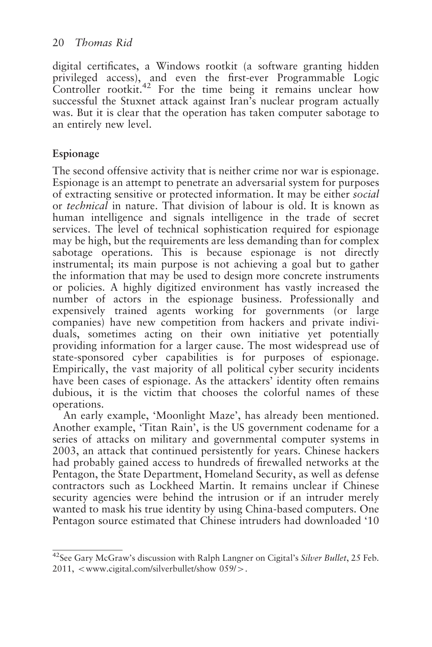digital certificates, a Windows rootkit (a software granting hidden privileged access), and even the first-ever Programmable Logic Controller rootkit.<sup>42</sup> For the time being it remains unclear how successful the Stuxnet attack against Iran's nuclear program actually was. But it is clear that the operation has taken computer sabotage to an entirely new level.

# Espionage

The second offensive activity that is neither crime nor war is espionage. Espionage is an attempt to penetrate an adversarial system for purposes of extracting sensitive or protected information. It may be either social or technical in nature. That division of labour is old. It is known as human intelligence and signals intelligence in the trade of secret services. The level of technical sophistication required for espionage may be high, but the requirements are less demanding than for complex sabotage operations. This is because espionage is not directly instrumental; its main purpose is not achieving a goal but to gather the information that may be used to design more concrete instruments or policies. A highly digitized environment has vastly increased the number of actors in the espionage business. Professionally and expensively trained agents working for governments (or large companies) have new competition from hackers and private individuals, sometimes acting on their own initiative yet potentially providing information for a larger cause. The most widespread use of state-sponsored cyber capabilities is for purposes of espionage. Empirically, the vast majority of all political cyber security incidents have been cases of espionage. As the attackers' identity often remains dubious, it is the victim that chooses the colorful names of these operations.

An early example, 'Moonlight Maze', has already been mentioned. Another example, 'Titan Rain', is the US government codename for a series of attacks on military and governmental computer systems in 2003, an attack that continued persistently for years. Chinese hackers had probably gained access to hundreds of firewalled networks at the Pentagon, the State Department, Homeland Security, as well as defense contractors such as Lockheed Martin. It remains unclear if Chinese security agencies were behind the intrusion or if an intruder merely wanted to mask his true identity by using China-based computers. One Pentagon source estimated that Chinese intruders had downloaded '10

<sup>&</sup>lt;sup>42</sup>See Gary McGraw's discussion with Ralph Langner on Cigital's Silver Bullet, 25 Feb. 2011, <www.cigital.com/silverbullet/show 059/>.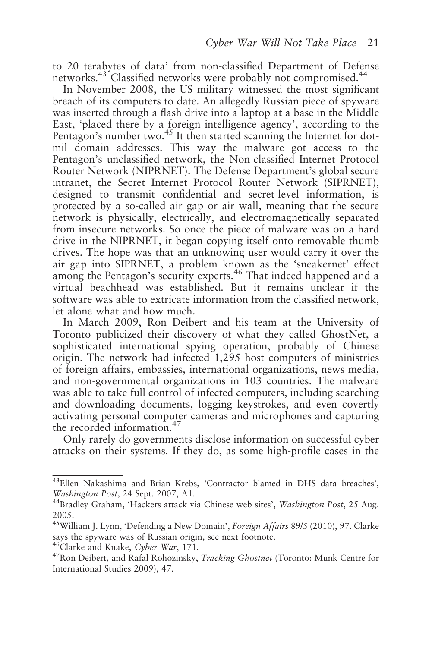to 20 terabytes of data' from non-classified Department of Defense networks.<sup>43</sup> Classified networks were probably not compromised.<sup>44</sup>

In November 2008, the US military witnessed the most significant breach of its computers to date. An allegedly Russian piece of spyware was inserted through a flash drive into a laptop at a base in the Middle East, 'placed there by a foreign intelligence agency', according to the Pentagon's number two.<sup>45</sup> It then started scanning the Internet for dotmil domain addresses. This way the malware got access to the Pentagon's unclassified network, the Non-classified Internet Protocol Router Network (NIPRNET). The Defense Department's global secure intranet, the Secret Internet Protocol Router Network (SIPRNET), designed to transmit confidential and secret-level information, is protected by a so-called air gap or air wall, meaning that the secure network is physically, electrically, and electromagnetically separated from insecure networks. So once the piece of malware was on a hard drive in the NIPRNET, it began copying itself onto removable thumb drives. The hope was that an unknowing user would carry it over the air gap into SIPRNET, a problem known as the 'sneakernet' effect among the Pentagon's security experts.<sup>46</sup> That indeed happened and a virtual beachhead was established. But it remains unclear if the software was able to extricate information from the classified network, let alone what and how much.

In March 2009, Ron Deibert and his team at the University of Toronto publicized their discovery of what they called GhostNet, a sophisticated international spying operation, probably of Chinese origin. The network had infected 1,295 host computers of ministries of foreign affairs, embassies, international organizations, news media, and non-governmental organizations in 103 countries. The malware was able to take full control of infected computers, including searching and downloading documents, logging keystrokes, and even covertly activating personal computer cameras and microphones and capturing the recorded information.47

Only rarely do governments disclose information on successful cyber attacks on their systems. If they do, as some high-profile cases in the

<sup>43</sup>Ellen Nakashima and Brian Krebs, 'Contractor blamed in DHS data breaches', Washington Post, 24 Sept. 2007, A1.<br><sup>44</sup>Bradley Graham, 'Hackers attack via Chinese web sites', Washington Post, 25 Aug.

<sup>2005.</sup>

<sup>&</sup>lt;sup>45</sup>William J. Lynn, 'Defending a New Domain', Foreign Affairs 89/5 (2010), 97. Clarke says the spyware was of Russian origin, see next footnote.

<sup>&</sup>lt;sup>46</sup>Clarke and Knake, Cyber War, 171.<br><sup>47</sup>Ron Deibert, and Rafal Rohozinsky, *Tracking Ghostnet* (Toronto: Munk Centre for International Studies 2009), 47.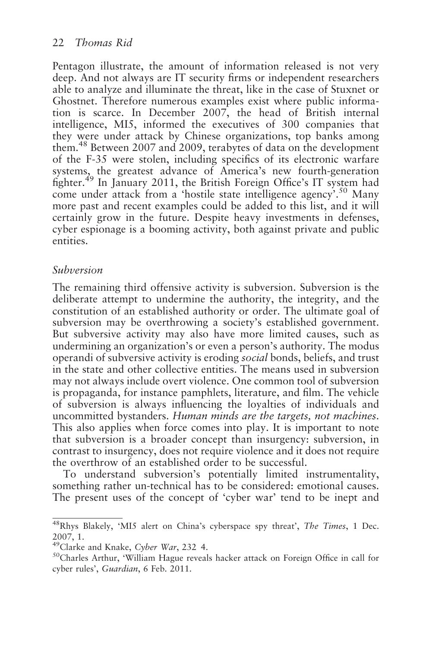Pentagon illustrate, the amount of information released is not very deep. And not always are IT security firms or independent researchers able to analyze and illuminate the threat, like in the case of Stuxnet or Ghostnet. Therefore numerous examples exist where public information is scarce. In December 2007, the head of British internal intelligence, MI5, informed the executives of 300 companies that they were under attack by Chinese organizations, top banks among them.48 Between 2007 and 2009, terabytes of data on the development of the F-35 were stolen, including specifics of its electronic warfare systems, the greatest advance of America's new fourth-generation fighter.49 In January 2011, the British Foreign Office's IT system had come under attack from a 'hostile state intelligence agency'.<sup>50</sup> Many more past and recent examples could be added to this list, and it will certainly grow in the future. Despite heavy investments in defenses, cyber espionage is a booming activity, both against private and public entities.

## Subversion

The remaining third offensive activity is subversion. Subversion is the deliberate attempt to undermine the authority, the integrity, and the constitution of an established authority or order. The ultimate goal of subversion may be overthrowing a society's established government. But subversive activity may also have more limited causes, such as undermining an organization's or even a person's authority. The modus operandi of subversive activity is eroding social bonds, beliefs, and trust in the state and other collective entities. The means used in subversion may not always include overt violence. One common tool of subversion is propaganda, for instance pamphlets, literature, and film. The vehicle of subversion is always influencing the loyalties of individuals and uncommitted bystanders. Human minds are the targets, not machines. This also applies when force comes into play. It is important to note that subversion is a broader concept than insurgency: subversion, in contrast to insurgency, does not require violence and it does not require the overthrow of an established order to be successful.

To understand subversion's potentially limited instrumentality, something rather un-technical has to be considered: emotional causes. The present uses of the concept of 'cyber war' tend to be inept and

<sup>&</sup>lt;sup>48</sup>Rhys Blakely, 'MI5 alert on China's cyberspace spy threat', The Times, 1 Dec. 2007, 1.<br><sup>49</sup> Clarke and Knake, *Cyber War*, 232 4.

 $50$ Charles Arthur, 'William Hague reveals hacker attack on Foreign Office in call for cyber rules', Guardian, 6 Feb. 2011.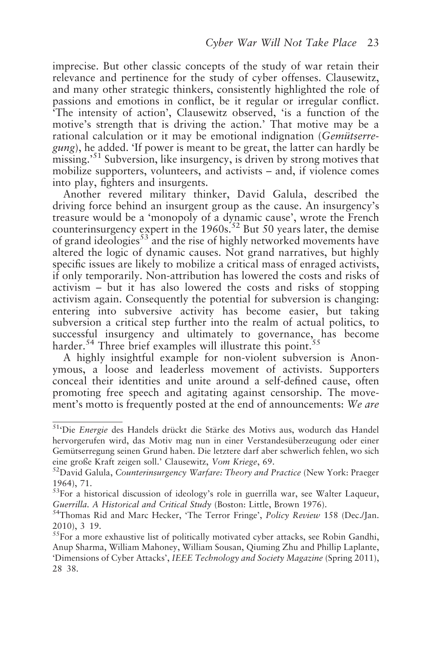imprecise. But other classic concepts of the study of war retain their relevance and pertinence for the study of cyber offenses. Clausewitz, and many other strategic thinkers, consistently highlighted the role of passions and emotions in conflict, be it regular or irregular conflict. 'The intensity of action', Clausewitz observed, 'is a function of the motive's strength that is driving the action.' That motive may be a rational calculation or it may be emotional indignation (Gemütserregung), he added. 'If power is meant to be great, the latter can hardly be missing.<sup>51</sup> Subversion, like insurgency, is driven by strong motives that mobilize supporters, volunteers, and activists – and, if violence comes into play, fighters and insurgents.

Another revered military thinker, David Galula, described the driving force behind an insurgent group as the cause. An insurgency's treasure would be a 'monopoly of a dynamic cause', wrote the French counterinsurgency expert in the  $1960s<sup>52</sup>$  But 50 years later, the demise of grand ideologies<sup>53</sup> and the rise of highly networked movements have altered the logic of dynamic causes. Not grand narratives, but highly specific issues are likely to mobilize a critical mass of enraged activists, if only temporarily. Non-attribution has lowered the costs and risks of activism – but it has also lowered the costs and risks of stopping activism again. Consequently the potential for subversion is changing: entering into subversive activity has become easier, but taking subversion a critical step further into the realm of actual politics, to successful insurgency and ultimately to governance, has become harder.<sup>54</sup> Three brief examples will illustrate this point.<sup>5</sup>

A highly insightful example for non-violent subversion is Anonymous, a loose and leaderless movement of activists. Supporters conceal their identities and unite around a self-defined cause, often promoting free speech and agitating against censorship. The movement's motto is frequently posted at the end of announcements: We are

<sup>&</sup>lt;sup>51</sup>'Die Energie des Handels drückt die Stärke des Motivs aus, wodurch das Handel hervorgerufen wird, das Motiv mag nun in einer Verstandesüberzeugung oder einer Gemütserregung seinen Grund haben. Die letztere darf aber schwerlich fehlen, wo sich eine große Kraft zeigen soll.' Clausewitz, Vom Kriege, 69.<br><sup>52</sup>David Galula, Counterinsurgency Warfare: Theory and Practice (New York: Praeger

<sup>1964), 71.</sup>

<sup>&</sup>lt;sup>53</sup>For a historical discussion of ideology's role in guerrilla war, see Walter Laqueur, Guerrilla. A Historical and Critical Study (Boston: Little, Brown 1976).<br><sup>54</sup>Thomas Rid and Marc Hecker, 'The Terror Fringe', *Policy Review* 158 (Dec./Jan.

<sup>2010), 3 19.</sup>

<sup>&</sup>lt;sup>55</sup>For a more exhaustive list of politically motivated cyber attacks, see Robin Gandhi, Anup Sharma, William Mahoney, William Sousan, Qiuming Zhu and Phillip Laplante, 'Dimensions of Cyber Attacks', IEEE Technology and Society Magazine (Spring 2011), 28 38.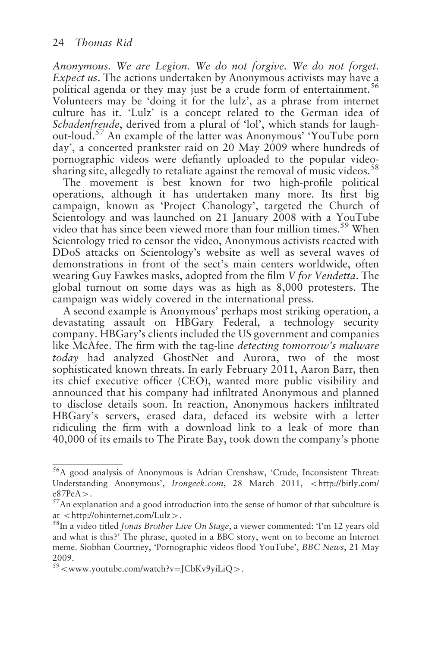Anonymous. We are Legion. We do not forgive. We do not forget. Expect us. The actions undertaken by Anonymous activists may have a political agenda or they may just be a crude form of entertainment.<sup>56</sup> Volunteers may be 'doing it for the lulz', as a phrase from internet culture has it. 'Lulz' is a concept related to the German idea of Schadenfreude, derived from a plural of 'lol', which stands for laughout-loud.57 An example of the latter was Anonymous' 'YouTube porn day', a concerted prankster raid on 20 May 2009 where hundreds of pornographic videos were defiantly uploaded to the popular videosharing site, allegedly to retaliate against the removal of music videos.<sup>58</sup>

The movement is best known for two high-profile political operations, although it has undertaken many more. Its first big campaign, known as 'Project Chanology', targeted the Church of Scientology and was launched on 21 January 2008 with a YouTube video that has since been viewed more than four million times.<sup>59</sup> When Scientology tried to censor the video, Anonymous activists reacted with DDoS attacks on Scientology's website as well as several waves of demonstrations in front of the sect's main centers worldwide, often wearing Guy Fawkes masks, adopted from the film V for Vendetta. The global turnout on some days was as high as 8,000 protesters. The campaign was widely covered in the international press.

A second example is Anonymous' perhaps most striking operation, a devastating assault on HBGary Federal, a technology security company. HBGary's clients included the US government and companies like McAfee. The firm with the tag-line *detecting tomorrow's malware* today had analyzed GhostNet and Aurora, two of the most sophisticated known threats. In early February 2011, Aaron Barr, then its chief executive officer (CEO), wanted more public visibility and announced that his company had infiltrated Anonymous and planned to disclose details soon. In reaction, Anonymous hackers infiltrated HBGary's servers, erased data, defaced its website with a letter ridiculing the firm with a download link to a leak of more than 40,000 of its emails to The Pirate Bay, took down the company's phone

<sup>56</sup>A good analysis of Anonymous is Adrian Crenshaw, 'Crude, Inconsistent Threat: Understanding Anonymous', *Irongeek.com*, 28 March 2011, <http://bitly.com/ e87PeA > .<br><sup>57</sup>An explanation and a good introduction into the sense of humor of that subculture is

at <http://ohinternet.com/Lulz>.<br><sup>58</sup>In a video titled *Jonas Brother Live On Stage*, a viewer commented: 'I'm 12 years old and what is this?' The phrase, quoted in a BBC story, went on to become an Internet meme. Siobhan Courtney, 'Pornographic videos flood YouTube', BBC News, 21 May 2009.

 $59<$ www.youtube.com/watch?v=JCbKv9yiLiQ>.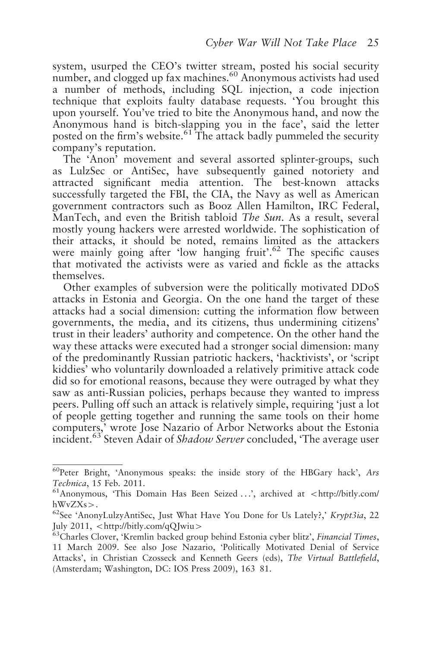system, usurped the CEO's twitter stream, posted his social security number, and clogged up fax machines.<sup>60</sup> Anonymous activists had used a number of methods, including SQL injection, a code injection technique that exploits faulty database requests. 'You brought this upon yourself. You've tried to bite the Anonymous hand, and now the Anonymous hand is bitch-slapping you in the face', said the letter posted on the firm's website.<sup>61</sup> The attack badly pummeled the security company's reputation.

The 'Anon' movement and several assorted splinter-groups, such as LulzSec or AntiSec, have subsequently gained notoriety and attracted significant media attention. The best-known attacks successfully targeted the FBI, the CIA, the Navy as well as American government contractors such as Booz Allen Hamilton, IRC Federal, ManTech, and even the British tabloid *The Sun*. As a result, several mostly young hackers were arrested worldwide. The sophistication of their attacks, it should be noted, remains limited as the attackers were mainly going after 'low hanging fruit'.<sup>62</sup> The specific causes that motivated the activists were as varied and fickle as the attacks themselves.

Other examples of subversion were the politically motivated DDoS attacks in Estonia and Georgia. On the one hand the target of these attacks had a social dimension: cutting the information flow between governments, the media, and its citizens, thus undermining citizens' trust in their leaders' authority and competence. On the other hand the way these attacks were executed had a stronger social dimension: many of the predominantly Russian patriotic hackers, 'hacktivists', or 'script kiddies' who voluntarily downloaded a relatively primitive attack code did so for emotional reasons, because they were outraged by what they saw as anti-Russian policies, perhaps because they wanted to impress peers. Pulling off such an attack is relatively simple, requiring 'just a lot of people getting together and running the same tools on their home computers,' wrote Jose Nazario of Arbor Networks about the Estonia incident.<sup>63</sup> Steven Adair of Shadow Server concluded, 'The average user

<sup>60</sup>Peter Bright, 'Anonymous speaks: the inside story of the HBGary hack', Ars

Technica, 15 Feb. 2011.<br><sup>61</sup>Anonymous, 'This Domain Has Been Seized ...', archived at <http://bitly.com/ hWvZXs>.<br><sup>62</sup>See 'AnonyLulzyAntiSec, Just What Have You Done for Us Lately?,' *Krypt3ia*, 22

July 2011, <http://bitly.com/qQJwiu><br><sup>63</sup>Charles Clover, 'Kremlin backed group behind Estonia cyber blitz', *Financial Times*,

<sup>11</sup> March 2009. See also Jose Nazario, 'Politically Motivated Denial of Service Attacks', in Christian Czosseck and Kenneth Geers (eds), The Virtual Battlefield, (Amsterdam; Washington, DC: IOS Press 2009), 163 81.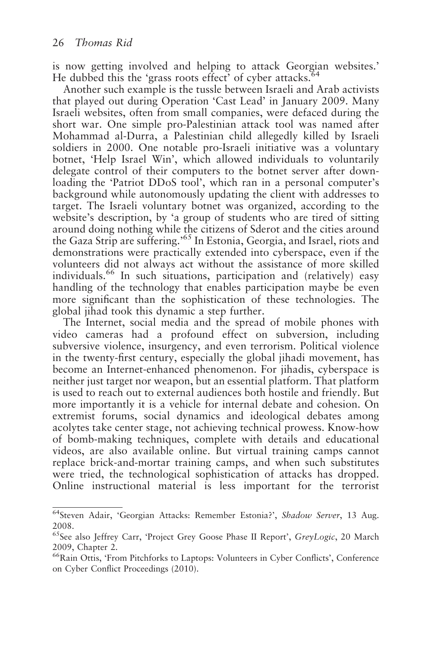is now getting involved and helping to attack Georgian websites.' He dubbed this the 'grass roots effect' of cyber attacks. $64$ 

Another such example is the tussle between Israeli and Arab activists that played out during Operation 'Cast Lead' in January 2009. Many Israeli websites, often from small companies, were defaced during the short war. One simple pro-Palestinian attack tool was named after Mohammad al-Durra, a Palestinian child allegedly killed by Israeli soldiers in 2000. One notable pro-Israeli initiative was a voluntary botnet, 'Help Israel Win', which allowed individuals to voluntarily delegate control of their computers to the botnet server after downloading the 'Patriot DDoS tool', which ran in a personal computer's background while autonomously updating the client with addresses to target. The Israeli voluntary botnet was organized, according to the website's description, by 'a group of students who are tired of sitting around doing nothing while the citizens of Sderot and the cities around the Gaza Strip are suffering.'65 In Estonia, Georgia, and Israel, riots and demonstrations were practically extended into cyberspace, even if the volunteers did not always act without the assistance of more skilled individuals.<sup>66</sup> In such situations, participation and (relatively) easy handling of the technology that enables participation maybe be even more significant than the sophistication of these technologies. The global jihad took this dynamic a step further.

The Internet, social media and the spread of mobile phones with video cameras had a profound effect on subversion, including subversive violence, insurgency, and even terrorism. Political violence in the twenty-first century, especially the global jihadi movement, has become an Internet-enhanced phenomenon. For jihadis, cyberspace is neither just target nor weapon, but an essential platform. That platform is used to reach out to external audiences both hostile and friendly. But more importantly it is a vehicle for internal debate and cohesion. On extremist forums, social dynamics and ideological debates among acolytes take center stage, not achieving technical prowess. Know-how of bomb-making techniques, complete with details and educational videos, are also available online. But virtual training camps cannot replace brick-and-mortar training camps, and when such substitutes were tried, the technological sophistication of attacks has dropped. Online instructional material is less important for the terrorist

<sup>&</sup>lt;sup>64</sup>Steven Adair, 'Georgian Attacks: Remember Estonia?', Shadow Server, 13 Aug. 2008.

<sup>&</sup>lt;sup>65</sup>See also Jeffrey Carr, 'Project Grey Goose Phase II Report', GreyLogic, 20 March 2009, Chapter 2.

<sup>&</sup>lt;sup>66</sup>Rain Ottis, 'From Pitchforks to Laptops: Volunteers in Cyber Conflicts', Conference on Cyber Conflict Proceedings (2010).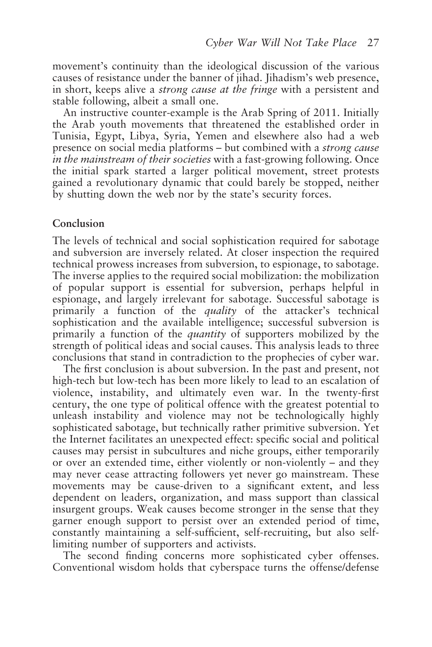movement's continuity than the ideological discussion of the various causes of resistance under the banner of jihad. Jihadism's web presence, in short, keeps alive a strong cause at the fringe with a persistent and stable following, albeit a small one.

An instructive counter-example is the Arab Spring of 2011. Initially the Arab youth movements that threatened the established order in Tunisia, Egypt, Libya, Syria, Yemen and elsewhere also had a web presence on social media platforms – but combined with a strong cause in the mainstream of their societies with a fast-growing following. Once the initial spark started a larger political movement, street protests gained a revolutionary dynamic that could barely be stopped, neither by shutting down the web nor by the state's security forces.

#### **Conclusion**

The levels of technical and social sophistication required for sabotage and subversion are inversely related. At closer inspection the required technical prowess increases from subversion, to espionage, to sabotage. The inverse applies to the required social mobilization: the mobilization of popular support is essential for subversion, perhaps helpful in espionage, and largely irrelevant for sabotage. Successful sabotage is primarily a function of the quality of the attacker's technical sophistication and the available intelligence; successful subversion is primarily a function of the quantity of supporters mobilized by the strength of political ideas and social causes. This analysis leads to three conclusions that stand in contradiction to the prophecies of cyber war.

The first conclusion is about subversion. In the past and present, not high-tech but low-tech has been more likely to lead to an escalation of violence, instability, and ultimately even war. In the twenty-first century, the one type of political offence with the greatest potential to unleash instability and violence may not be technologically highly sophisticated sabotage, but technically rather primitive subversion. Yet the Internet facilitates an unexpected effect: specific social and political causes may persist in subcultures and niche groups, either temporarily or over an extended time, either violently or non-violently – and they may never cease attracting followers yet never go mainstream. These movements may be cause-driven to a significant extent, and less dependent on leaders, organization, and mass support than classical insurgent groups. Weak causes become stronger in the sense that they garner enough support to persist over an extended period of time, constantly maintaining a self-sufficient, self-recruiting, but also selflimiting number of supporters and activists.

The second finding concerns more sophisticated cyber offenses. Conventional wisdom holds that cyberspace turns the offense/defense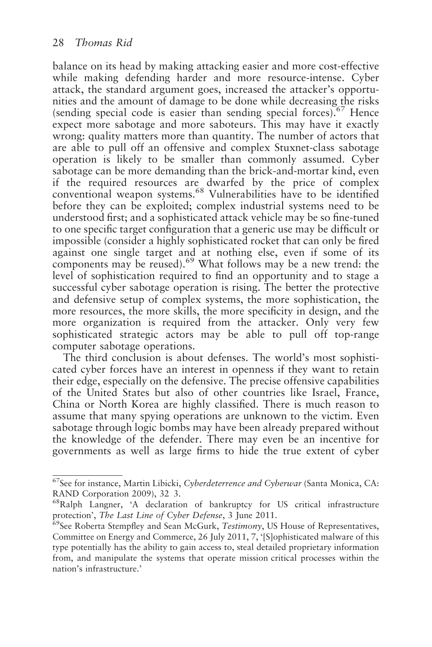balance on its head by making attacking easier and more cost-effective while making defending harder and more resource-intense. Cyber attack, the standard argument goes, increased the attacker's opportunities and the amount of damage to be done while decreasing the risks (sending special code is easier than sending special forces).<sup>67</sup> Hence expect more sabotage and more saboteurs. This may have it exactly wrong: quality matters more than quantity. The number of actors that are able to pull off an offensive and complex Stuxnet-class sabotage operation is likely to be smaller than commonly assumed. Cyber sabotage can be more demanding than the brick-and-mortar kind, even if the required resources are dwarfed by the price of complex conventional weapon systems.<sup>68</sup> Vulnerabilities have to be identified before they can be exploited; complex industrial systems need to be understood first; and a sophisticated attack vehicle may be so fine-tuned to one specific target configuration that a generic use may be difficult or impossible (consider a highly sophisticated rocket that can only be fired against one single target and at nothing else, even if some of its components may be reused).<sup>69</sup> What follows may be a new trend: the level of sophistication required to find an opportunity and to stage a successful cyber sabotage operation is rising. The better the protective and defensive setup of complex systems, the more sophistication, the more resources, the more skills, the more specificity in design, and the more organization is required from the attacker. Only very few sophisticated strategic actors may be able to pull off top-range computer sabotage operations.

The third conclusion is about defenses. The world's most sophisticated cyber forces have an interest in openness if they want to retain their edge, especially on the defensive. The precise offensive capabilities of the United States but also of other countries like Israel, France, China or North Korea are highly classified. There is much reason to assume that many spying operations are unknown to the victim. Even sabotage through logic bombs may have been already prepared without the knowledge of the defender. There may even be an incentive for governments as well as large firms to hide the true extent of cyber

<sup>&</sup>lt;sup>67</sup>See for instance, Martin Libicki, Cyberdeterrence and Cyberwar (Santa Monica, CA: RAND Corporation 2009), 32 3.

<sup>68</sup>Ralph Langner, 'A declaration of bankruptcy for US critical infrastructure protection', The Last Line of Cyber Defense, 3 June 2011.<br><sup>69</sup>See Roberta Stempfley and Sean McGurk, Testimony, US House of Representatives,

Committee on Energy and Commerce, 26 July 2011, 7, '[S]ophisticated malware of this type potentially has the ability to gain access to, steal detailed proprietary information from, and manipulate the systems that operate mission critical processes within the nation's infrastructure.'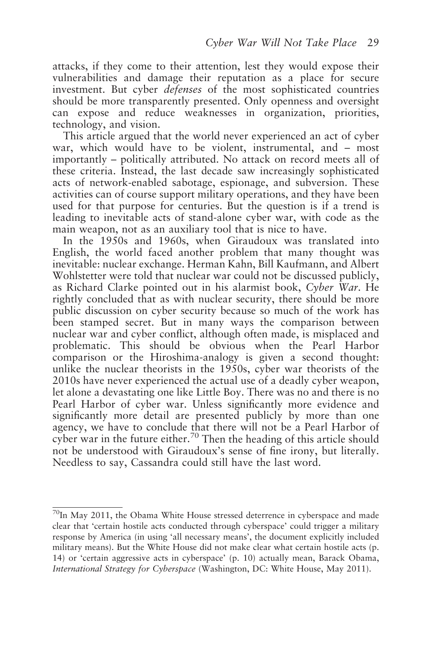attacks, if they come to their attention, lest they would expose their vulnerabilities and damage their reputation as a place for secure investment. But cyber defenses of the most sophisticated countries should be more transparently presented. Only openness and oversight can expose and reduce weaknesses in organization, priorities, technology, and vision.

This article argued that the world never experienced an act of cyber war, which would have to be violent, instrumental, and – most importantly – politically attributed. No attack on record meets all of these criteria. Instead, the last decade saw increasingly sophisticated acts of network-enabled sabotage, espionage, and subversion. These activities can of course support military operations, and they have been used for that purpose for centuries. But the question is if a trend is leading to inevitable acts of stand-alone cyber war, with code as the main weapon, not as an auxiliary tool that is nice to have.

In the 1950s and 1960s, when Giraudoux was translated into English, the world faced another problem that many thought was inevitable: nuclear exchange. Herman Kahn, Bill Kaufmann, and Albert Wohlstetter were told that nuclear war could not be discussed publicly, as Richard Clarke pointed out in his alarmist book, Cyber War. He rightly concluded that as with nuclear security, there should be more public discussion on cyber security because so much of the work has been stamped secret. But in many ways the comparison between nuclear war and cyber conflict, although often made, is misplaced and problematic. This should be obvious when the Pearl Harbor comparison or the Hiroshima-analogy is given a second thought: unlike the nuclear theorists in the 1950s, cyber war theorists of the 2010s have never experienced the actual use of a deadly cyber weapon, let alone a devastating one like Little Boy. There was no and there is no Pearl Harbor of cyber war. Unless significantly more evidence and significantly more detail are presented publicly by more than one agency, we have to conclude that there will not be a Pearl Harbor of cyber war in the future either.<sup>70</sup> Then the heading of this article should not be understood with Giraudoux's sense of fine irony, but literally. Needless to say, Cassandra could still have the last word.

 $70$ In May 2011, the Obama White House stressed deterrence in cyberspace and made clear that 'certain hostile acts conducted through cyberspace' could trigger a military response by America (in using 'all necessary means', the document explicitly included military means). But the White House did not make clear what certain hostile acts (p. 14) or 'certain aggressive acts in cyberspace' (p. 10) actually mean, Barack Obama, International Strategy for Cyberspace (Washington, DC: White House, May 2011).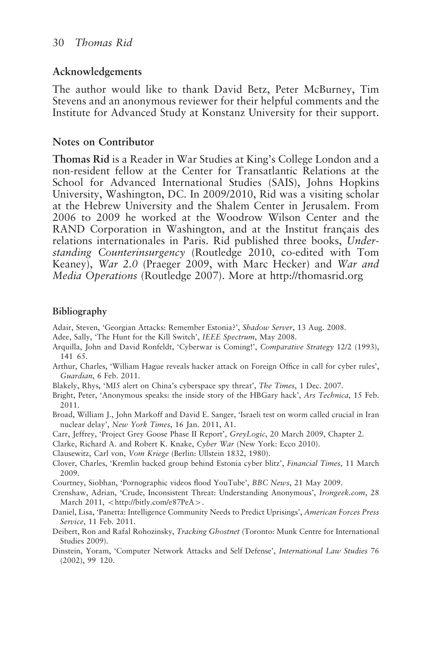## Acknowledgements

The author would like to thank David Betz, Peter McBurney, Tim Stevens and an anonymous reviewer for their helpful comments and the Institute for Advanced Study at Konstanz University for their support.

## Notes on Contributor

Thomas Rid is a Reader in War Studies at King's College London and a non-resident fellow at the Center for Transatlantic Relations at the School for Advanced International Studies (SAIS), Johns Hopkins University, Washington, DC. In 2009/2010, Rid was a visiting scholar at the Hebrew University and the Shalem Center in Jerusalem. From 2006 to 2009 he worked at the Woodrow Wilson Center and the RAND Corporation in Washington, and at the Institut français des relations internationales in Paris. Rid published three books, Understanding Counterinsurgency (Routledge 2010, co-edited with Tom Keaney), War 2.0 (Praeger 2009, with Marc Hecker) and War and Media Operations (Routledge 2007). More at http://thomasrid.org

#### Bibliography

Adair, Steven, 'Georgian Attacks: Remember Estonia?', Shadow Server, 13 Aug. 2008.

- Adee, Sally, 'The Hunt for the Kill Switch', IEEE Spectrum, May 2008.
- Arquilla, John and David Ronfeldt, 'Cyberwar is Coming!', Comparative Strategy 12/2 (1993), 141 65.
- Arthur, Charles, 'William Hague reveals hacker attack on Foreign Office in call for cyber rules', Guardian, 6 Feb. 2011.
- Blakely, Rhys, 'MI5 alert on China's cyberspace spy threat', The Times, 1 Dec. 2007.
- Bright, Peter, 'Anonymous speaks: the inside story of the HBGary hack', Ars Technica, 15 Feb. 2011.
- Broad, William J., John Markoff and David E. Sanger, 'Israeli test on worm called crucial in Iran nuclear delay', New York Times, 16 Jan. 2011, A1.
- Carr, Jeffrey, 'Project Grey Goose Phase II Report', GreyLogic, 20 March 2009, Chapter 2.
- Clarke, Richard A. and Robert K. Knake, Cyber War (New York: Ecco 2010).
- Clausewitz, Carl von, Vom Kriege (Berlin: Ullstein 1832, 1980).
- Clover, Charles, 'Kremlin backed group behind Estonia cyber blitz', Financial Times, 11 March 2009.
- Courtney, Siobhan, 'Pornographic videos flood YouTube', BBC News, 21 May 2009.
- Crenshaw, Adrian, 'Crude, Inconsistent Threat: Understanding Anonymous', Irongeek.com, 28 March 2011, <http://bitly.com/e87PeA>.
- Daniel, Lisa, 'Panetta: Intelligence Community Needs to Predict Uprisings', American Forces Press Service, 11 Feb. 2011.
- Deibert, Ron and Rafal Rohozinsky, Tracking Ghostnet (Toronto: Munk Centre for International Studies 2009).
- Dinstein, Yoram, 'Computer Network Attacks and Self Defense', International Law Studies 76 (2002), 99 120.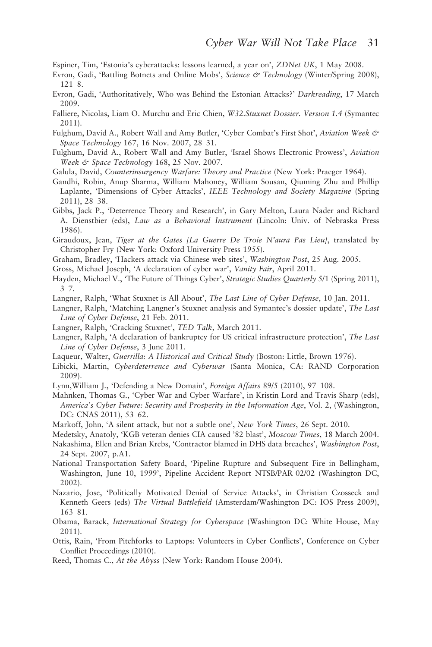- Espiner, Tim, 'Estonia's cyberattacks: lessons learned, a year on', ZDNet UK, 1 May 2008.
- Evron, Gadi, 'Battling Botnets and Online Mobs', Science & Technology (Winter/Spring 2008), 121 8.
- Evron, Gadi, 'Authoritatively, Who was Behind the Estonian Attacks?' Darkreading, 17 March 2009.
- Falliere, Nicolas, Liam O. Murchu and Eric Chien, W32.Stuxnet Dossier. Version 1.4 (Symantec 2011).
- Fulghum, David A., Robert Wall and Amy Butler, 'Cyber Combat's First Shot', Aviation Week & Space Technology 167, 16 Nov. 2007, 28 31.
- Fulghum, David A., Robert Wall and Amy Butler, 'Israel Shows Electronic Prowess', Aviation Week & Space Technology 168, 25 Nov. 2007.
- Galula, David, Counterinsurgency Warfare: Theory and Practice (New York: Praeger 1964).
- Gandhi, Robin, Anup Sharma, William Mahoney, William Sousan, Qiuming Zhu and Phillip Laplante, 'Dimensions of Cyber Attacks', IEEE Technology and Society Magazine (Spring 2011), 28 38.
- Gibbs, Jack P., 'Deterrence Theory and Research', in Gary Melton, Laura Nader and Richard A. Dienstbier (eds), Law as a Behavioral Instrument (Lincoln: Univ. of Nebraska Press 1986).
- Giraudoux, Jean, Tiger at the Gates [La Guerre De Troie N'aura Pas Lieu], translated by Christopher Fry (New York: Oxford University Press 1955).
- Graham, Bradley, 'Hackers attack via Chinese web sites', Washington Post, 25 Aug. 2005.
- Gross, Michael Joseph, 'A declaration of cyber war', Vanity Fair, April 2011.
- Hayden, Michael V., 'The Future of Things Cyber', Strategic Studies Quarterly 5/1 (Spring 2011), 3 7.
- Langner, Ralph, 'What Stuxnet is All About', The Last Line of Cyber Defense, 10 Jan. 2011.
- Langner, Ralph, 'Matching Langner's Stuxnet analysis and Symantec's dossier update', The Last Line of Cyber Defense, 21 Feb. 2011.
- Langner, Ralph, 'Cracking Stuxnet', TED Talk, March 2011.
- Langner, Ralph, 'A declaration of bankruptcy for US critical infrastructure protection', The Last Line of Cyber Defense, 3 June 2011.
- Laqueur, Walter, Guerrilla: A Historical and Critical Study (Boston: Little, Brown 1976).
- Libicki, Martin, Cyberdeterrence and Cyberwar (Santa Monica, CA: RAND Corporation 2009).
- Lynn,William J., 'Defending a New Domain', Foreign Affairs 89/5 (2010), 97 108.
- Mahnken, Thomas G., 'Cyber War and Cyber Warfare', in Kristin Lord and Travis Sharp (eds), America's Cyber Future: Security and Prosperity in the Information Age, Vol. 2, (Washington, DC: CNAS 2011), 53 62.
- Markoff, John, 'A silent attack, but not a subtle one', New York Times, 26 Sept. 2010.
- Medetsky, Anatoly, 'KGB veteran denies CIA caused '82 blast', Moscow Times, 18 March 2004.
- Nakashima, Ellen and Brian Krebs, 'Contractor blamed in DHS data breaches', Washington Post, 24 Sept. 2007, p.A1.
- National Transportation Safety Board, 'Pipeline Rupture and Subsequent Fire in Bellingham, Washington, June 10, 1999', Pipeline Accident Report NTSB/PAR 02/02 (Washington DC, 2002).
- Nazario, Jose, 'Politically Motivated Denial of Service Attacks', in Christian Czosseck and Kenneth Geers (eds) The Virtual Battlefield (Amsterdam/Washington DC: IOS Press 2009), 163 81.
- Obama, Barack, International Strategy for Cyberspace (Washington DC: White House, May 2011).
- Ottis, Rain, 'From Pitchforks to Laptops: Volunteers in Cyber Conflicts', Conference on Cyber Conflict Proceedings (2010).
- Reed, Thomas C., At the Abyss (New York: Random House 2004).